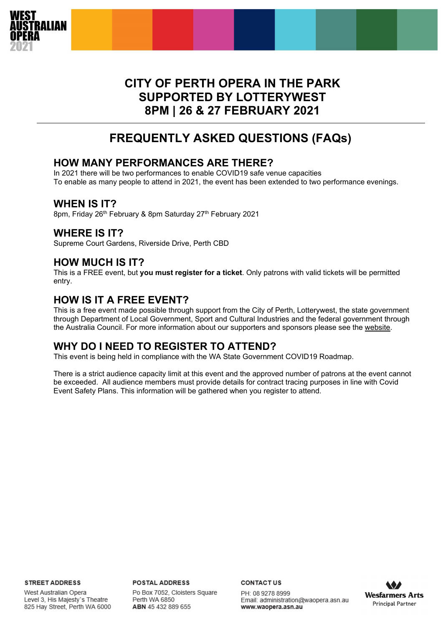

# **CITY OF PERTH OPERA IN THE PARK SUPPORTED BY LOTTERYWEST 8PM | 26 & 27 FEBRUARY 2021**

# **FREQUENTLY ASKED QUESTIONS (FAQs))**

## **HOW MANY PERFORMANCES ARE THERE?**

In 2021 there will be two performances to enable COVID19 safe venue capacities To enable as many people to attend in 2021, the event has been extended to two performance evenings.

## **WHEN IS IT?**

8pm, Friday 26<sup>th</sup> February & 8pm Saturday 27<sup>th</sup> February 2021

## **WHERE IS IT?**

Supreme Court Gardens, Riverside Drive, Perth CBD

## **HOW MUCH IS IT?**

This is a FREE event, but **you must register for a ticket**. Only patrons with valid tickets will be permitted entry.

## **HOW IS IT A FREE EVENT?**

This is a free event made possible through support from the City of Perth, Lotterywest, the state government through Department of Local Government, Sport and Cultural Industries and the federal government through the Australia Council. For more information about our supporters and sponsors please see the [website.](http://www.waopera.asn.au/)

## **WHY DO I NEED TO REGISTER TO ATTEND?**

This event is being held in compliance with the WA State Government COVID19 Roadmap.

There is a strict audience capacity limit at this event and the approved number of patrons at the event cannot be exceeded. All audience members must provide details for contract tracing purposes in line with Covid Event Safety Plans. This information will be gathered when you register to attend.

**STREET ADDRESS** 

West Australian Opera Level 3, His Majesty's Theatre 825 Hay Street, Perth WA 6000 **POSTAL ADDRESS** Po Box 7052, Cloisters Square Perth WA 6850 ABN 45 432 889 655

**CONTACTUS** 

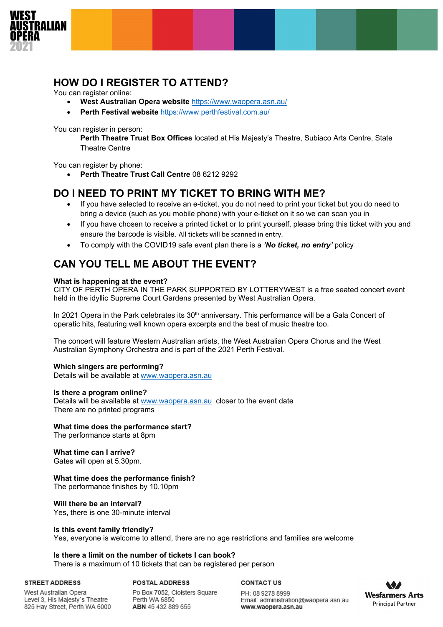

## **HOW DO I REGISTER TO ATTEND?**

You can register online:

- **West Australian Opera website** <https://www.waopera.asn.au/>
- **Perth Festival website** <https://www.perthfestival.com.au/>

You can register in person:

**Perth Theatre Trust Box Offices** located at His Majesty's Theatre, Subiaco Arts Centre, State Theatre Centre

You can register by phone:

• **Perth Theatre Trust Call Centre** 08 6212 9292

## **DO I NEED TO PRINT MY TICKET TO BRING WITH ME?**

- If you have selected to receive an e-ticket, you do not need to print your ticket but you do need to bring a device (such as you mobile phone) with your e-ticket on it so we can scan you in
- If you have chosen to receive a printed ticket or to print yourself, please bring this ticket with you and ensure the barcode is visible. All tickets will be scanned in entry.
- To comply with the COVID19 safe event plan there is a *'No ticket, no entry'* policy

## **CAN YOU TELL ME ABOUT THE EVENT?**

## **What is happening at the event?**

CITY OF PERTH OPERA IN THE PARK SUPPORTED BY LOTTERYWEST is a free seated concert event held in the idyllic Supreme Court Gardens presented by West Australian Opera.

In 2021 Opera in the Park celebrates its 30<sup>th</sup> anniversary. This performance will be a Gala Concert of operatic hits, featuring well known opera excerpts and the best of music theatre too.

The concert will feature Western Australian artists, the West Australian Opera Chorus and the West Australian Symphony Orchestra and is part of the 2021 Perth Festival.

## **Which singers are performing?**

Details will be available at [www.waopera.asn.au](http://www.waopera.asn.au/)

## **Is there a program online?**

Details will be available at [www.waopera.asn.au](http://www.waopera.asn.au/) closer to the event date There are no printed programs

## **What time does the performance start?**

The performance starts at 8pm

## **What time can I arrive?**

Gates will open at 5.30pm.

## **What time does the performance finish?**

The performance finishes by 10.10pm

## **Will there be an interval?**

Yes, there is one 30-minute interval

## **Is this event family friendly?**

Yes, everyone is welcome to attend, there are no age restrictions and families are welcome

## **Is there a limit on the number of tickets I can book?**

There is a maximum of 10 tickets that can be registered per person

#### **STREET ADDRESS**

West Australian Opera Level 3, His Majesty's Theatre 825 Hay Street, Perth WA 6000

**POSTAL ADDRESS** Po Box 7052, Cloisters Square Perth WA 6850 ABN 45 432 889 655

**CONTACTUS** 

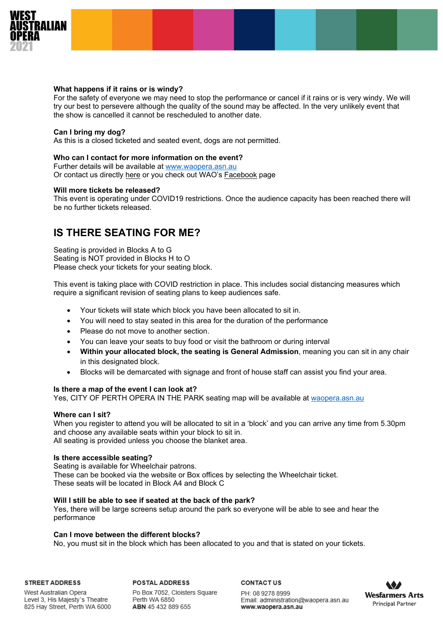

## **What happens if it rains or is windy?**

For the safety of everyone we may need to stop the performance or cancel if it rains or is very windy. We will try our best to persevere although the quality of the sound may be affected. In the very unlikely event that the show is cancelled it cannot be rescheduled to another date.

## **Can I bring my dog?**

As this is a closed ticketed and seated event, dogs are not permitted.

## **Who can I contact for more information on the event?**

Further details will be available at [www.waopera.asn.au](http://www.waopera.asn.au/) Or contact us directly [here](https://www.waopera.asn.au/contact/) or you check out WAO's [Facebook](https://www.facebook.com/waopera/) page

#### **Will more tickets be released?**

This event is operating under COVID19 restrictions. Once the audience capacity has been reached there will be no further tickets released.

## **IS THERE SEATING FOR ME?**

Seating is provided in Blocks A to G Seating is NOT provided in Blocks H to O Please check your tickets for your seating block.

This event is taking place with COVID restriction in place. This includes social distancing measures which require a significant revision of seating plans to keep audiences safe.

- Your tickets will state which block you have been allocated to sit in.
- You will need to stay seated in this area for the duration of the performance
- Please do not move to another section.
- You can leave your seats to buy food or visit the bathroom or during interval
- **Within your allocated block, the seating is General Admission**, meaning you can sit in any chair in this designated block.
- Blocks will be demarcated with signage and front of house staff can assist you find your area.

## **Is there a map of the event I can look at?**

Yes, CITY OF PERTH OPERA IN THE PARK seating map will be available at [waopera.asn.au](http://www.waopera.asn.au/) 

#### **Where can I sit?**

When you register to attend you will be allocated to sit in a 'block' and you can arrive any time from 5.30pm and choose any available seats within your block to sit in. All seating is provided unless you choose the blanket area.

#### **Is there accessible seating?**

Seating is available for Wheelchair patrons. These can be booked via the website or Box offices by selecting the Wheelchair ticket. These seats will be located in Block A4 and Block C

## **Will I still be able to see if seated at the back of the park?**

Yes, there will be large screens setup around the park so everyone will be able to see and hear the performance

#### **Can I move between the different blocks?**

No, you must sit in the block which has been allocated to you and that is stated on your tickets.

#### **STREET ADDRESS**

**POSTAL ADDRESS** 

West Australian Opera Level 3, His Majesty's Theatre 825 Hay Street, Perth WA 6000

Po Box 7052, Cloisters Square Perth WA 6850 ABN 45 432 889 655

**CONTACTUS** 

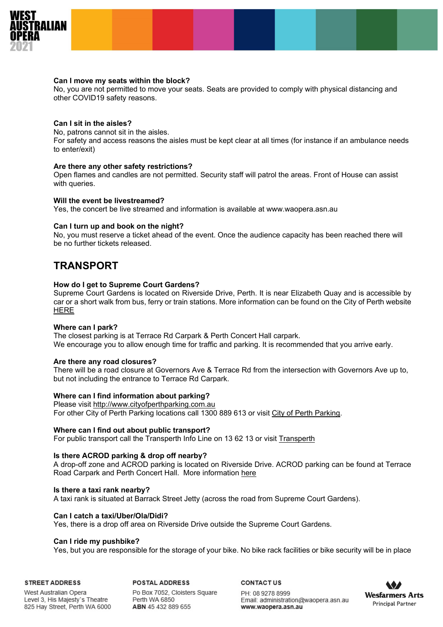

#### **Can I move my seats within the block?**

No, you are not permitted to move your seats. Seats are provided to comply with physical distancing and other COVID19 safety reasons.

### **Can I sit in the aisles?**

No, patrons cannot sit in the aisles.

For safety and access reasons the aisles must be kept clear at all times (for instance if an ambulance needs to enter/exit)

### **Are there any other safety restrictions?**

Open flames and candles are not permitted. Security staff will patrol the areas. Front of House can assist with queries.

#### **Will the event be livestreamed?**

Yes, the concert be live streamed and information is available at [www.waopera.asn.au](http://www.waopera.asn.au/)

#### **Can I turn up and book on the night?**

No, you must reserve a ticket ahead of the event. Once the audience capacity has been reached there will be no further tickets released.

## **TRANSPORT**

#### **How do I get to Supreme Court Gardens?**

Supreme Court Gardens is located on Riverside Drive, Perth. It is near Elizabeth Quay and is accessible by car or a short walk from bus, ferry or train stations. More information can be found on the City of Perth websit[e](https://www.visitperth.com.au/see-and-do/parks-gardens-and-reserves/Venues/supreme-court-gardens) [HERE](https://www.visitperth.com.au/see-and-do/parks-gardens-and-reserves/Venues/supreme-court-gardens)

#### **Where can I park?**

The closest parking is at Terrace Rd Carpark & Perth Concert Hall carpark. We encourage you to allow enough time for traffic and parking. It is recommended that you arrive early.

#### **Are there any road closures?**

There will be a road closure at Governors Ave & Terrace Rd from the intersection with Governors Ave up to, but not including the entrance to Terrace Rd Carpark.

## **Where can I find information about parking?**

Please visit [http://www.cityofperthparking.com.au](http://www.cityofperthparking.com.au/node/732/#eventItem732) For other City of Perth Parking locations call 1300 889 613 or visit [City of Perth Parking.](http://www.perth.wa.gov.au/documentdb/2048)

#### **Where can I find out about public transport?**

For public transport call the Transperth Info Line on 13 62 13 or visit [Transperth](http://www.transperth.wa.gov.au/)

#### **Is there ACROD parking & drop off nearby?**

A drop-off zone and ACROD parking is located on Riverside Drive. ACROD parking can be found at Terrace Road Carpark and Perth Concert Hall. More information [here](http://www.transport.wa.gov.au/mediaFiles/about-us/DOT_M_ACRODoffst.pdf)

#### **Is there a taxi rank nearby?**

A taxi rank is situated at Barrack Street Jetty (across the road from Supreme Court Gardens).

#### **Can I catch a taxi/Uber/Ola/Didi?**

Yes, there is a drop off area on Riverside Drive outside the Supreme Court Gardens.

### **Can I ride my pushbike?**

Yes, but you are responsible for the storage of your bike. No bike rack facilities or bike security will be in place

**STREET ADDRESS** 

**POSTAL ADDRESS** 

Po Box 7052, Cloisters Square West Australian Opera Level 3, His Majesty's Theatre Perth WA 6850 825 Hay Street, Perth WA 6000 ABN 45 432 889 655

**CONTACTUS** 

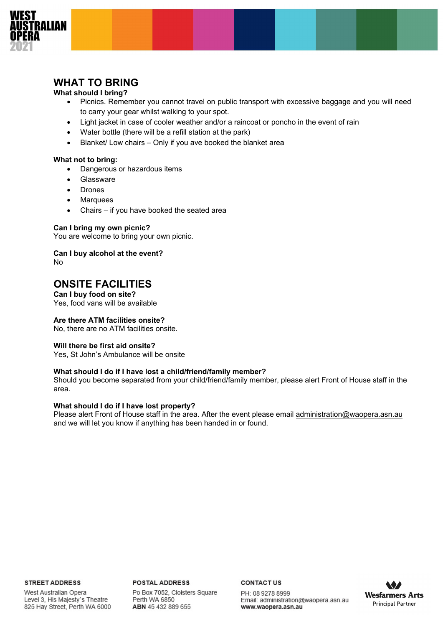

## **WHAT TO BRING**

## **What should I bring?**

- Picnics. Remember you cannot travel on public transport with excessive baggage and you will need to carry your gear whilst walking to your spot.
- Light jacket in case of cooler weather and/or a raincoat or poncho in the event of rain
- Water bottle (there will be a refill station at the park)
- Blanket/ Low chairs Only if you ave booked the blanket area

## **What not to bring:**

- Dangerous or hazardous items
- **Glassware**
- Drones
- **Marquees**
- Chairs if you have booked the seated area

## **Can I bring my own picnic?**

You are welcome to bring your own picnic.

**Can I buy alcohol at the event?** No

## **ONSITE FACILITIES**

**Can I buy food on site?** Yes, food vans will be available

## **Are there ATM facilities onsite?**

No, there are no ATM facilities onsite.

## **Will there be first aid onsite?**

Yes, St John's Ambulance will be onsite

## **What should I do if I have lost a child/friend/family member?**

Should you become separated from your child/friend/family member, please alert Front of House staff in the area.

## **What should I do if I have lost property?**

Please alert Front of House staff in the area. After the event please email [administration@waopera.asn.au](mailto:administration@waopera.asn.au) and we will let you know if anything has been handed in or found.

#### **STREET ADDRESS**

West Australian Opera Level 3, His Majesty's Theatre 825 Hay Street, Perth WA 6000 **POSTAL ADDRESS** Po Box 7052, Cloisters Square Perth WA 6850 ABN 45 432 889 655

#### **CONTACTUS**